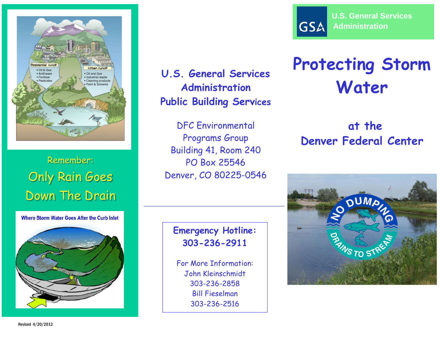

Remember: Only Rain Goes Down The Drain

Where Storm Water Goes After the Curb Inlet

**U.S. General Services Administration Public Building Services**

DFC Environmental Programs Group Building 41, Room 240 PO Box 25546 Denver, CO 80225-0546

### **Emergency Hotline: 303-236-2911**

For More Information: John Kleinschmidt 303-236-2858 Bill Fieselman 303-236-2516



# **Protecting Storm Water**

**at the Denver Federal Center**